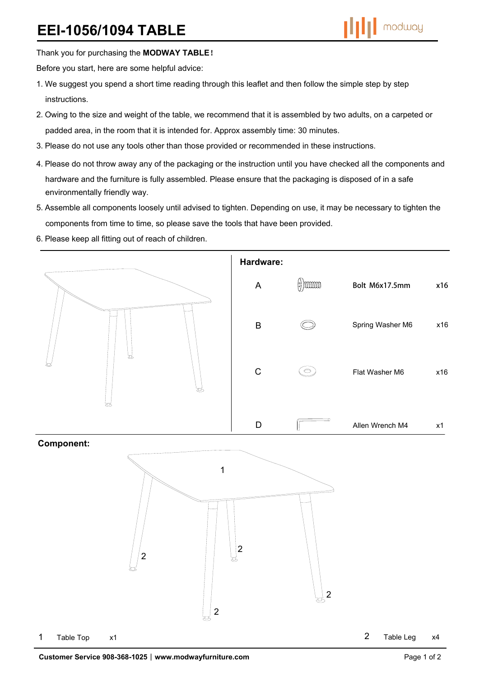Thank you for purchasing the **MODWAY TABLE**!

Before you start, here are some helpful advice:

- 1.We suggest you spend a short time reading through this leaflet and then follow the simple step by step instructions.
- 2.Owing to the size and weight of the table, we recommend that it is assembled by two adults, on a carpeted or padded area, in the room that it is intended for. Approx assembly time: 30 minutes.
- 3.Please do not use any tools other than those provided or recommended in these instructions.
- 4.Please do not throw away any of the packaging or the instruction until you have checked all the components and hardware and the furniture is fully assembled. Please ensure that the packaging is disposed of in a safe environmentally friendly way.
- 5.Assemble all components loosely until advised to tighten. Depending on use, it may be necessary to tighten the components from time to time, so please save the tools that have been provided.
- 6.Please keep all fitting out of reach of children.





2 Table Leg x4